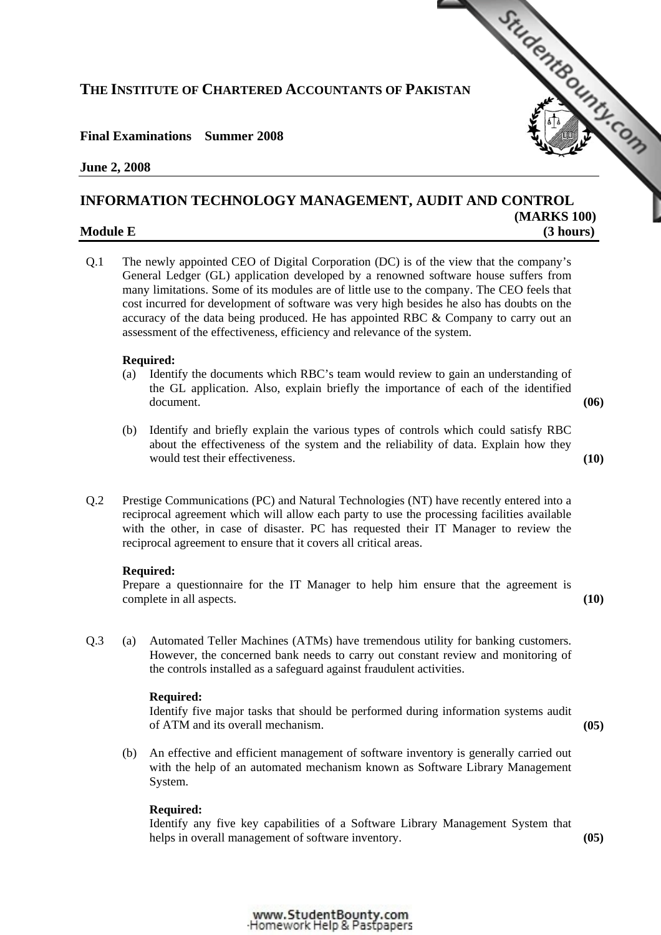# **THE INSTITUTE OF CHARTERED ACCOUNTANTS OF PAKISTAN**

# **Final Examinations Summer 2008**

### **June 2, 2008**

# **INFORMATION TECHNOLOGY MANAGEMENT, AU[DIT AND CONTROL](http://www.studentbounty.com)  (MARKS 100)**

# **Module E** (3 hours)

Q.1 The newly appointed CEO of Digital Corporation (DC) is of the view that the company's General Ledger (GL) application developed by a renowned software house suffers from many limitations. Some of its modules are of little use to the company. The CEO feels that cost incurred for development of software was very high besides he also has doubts on the accuracy of the data being produced. He has appointed RBC & Company to carry out an assessment of the effectiveness, efficiency and relevance of the system.

### **Required:**

- (a) Identify the documents which RBC's team would review to gain an understanding of the GL application. Also, explain briefly the importance of each of the identified document. **(06)** 
	-

StudentBounds Com

- (b) Identify and briefly explain the various types of controls which could satisfy RBC about the effectiveness of the system and the reliability of data. Explain how they would test their effectiveness. **(10) (10)**
- Q.2 Prestige Communications (PC) and Natural Technologies (NT) have recently entered into a reciprocal agreement which will allow each party to use the processing facilities available with the other, in case of disaster. PC has requested their IT Manager to review the reciprocal agreement to ensure that it covers all critical areas.

## **Required:**

 Prepare a questionnaire for the IT Manager to help him ensure that the agreement is complete in all aspects. **(10)** 

Q.3 (a) Automated Teller Machines (ATMs) have tremendous utility for banking customers. However, the concerned bank needs to carry out constant review and monitoring of the controls installed as a safeguard against fraudulent activities.

### **Required:**

 Identify five major tasks that should be performed during information systems audit of ATM and its overall mechanism. **(05)** 

 (b) An effective and efficient management of software inventory is generally carried out with the help of an automated mechanism known as Software Library Management System.

# **Required:**

 Identify any five key capabilities of a Software Library Management System that helps in overall management of software inventory. **(05) (05)** 

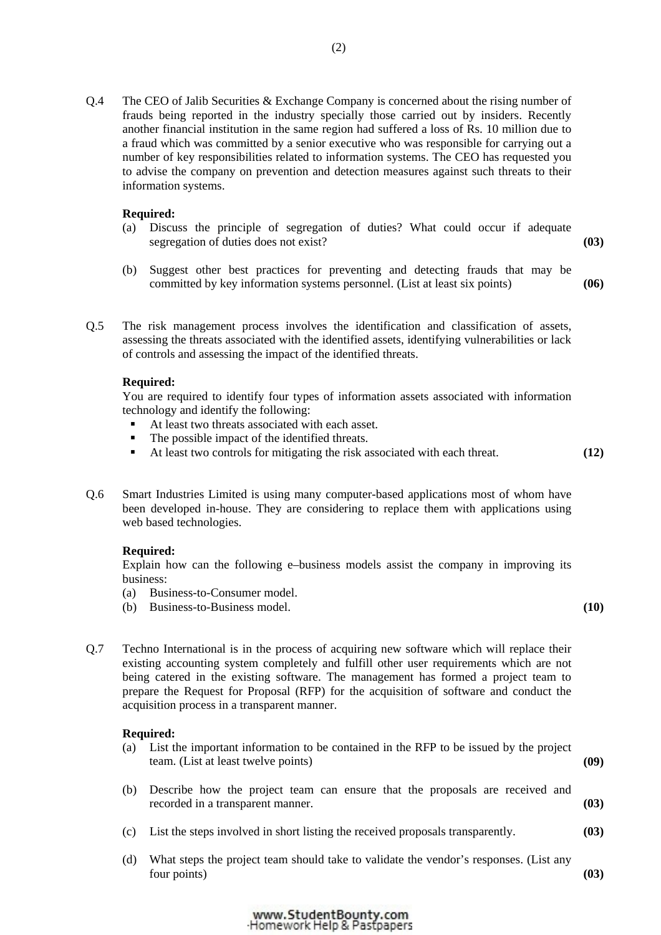Q.4 The CEO of Jalib Securities & Exchange Company is concerned about the rising number of frauds being reported in the industry specially those carried out by insiders. Recently another financial institution in the same region had suffered a loss of Rs. 10 million due to a fraud which was committed by a senior executive who was responsible for carrying out a number of key responsibilities related to information systems. The CEO has requested you to advise the company on prevention and detection measures against such threats to their information systems.

### **Required:**

- (a) Discuss the principle of segregation of duties? What could occur if adequate segregation of duties does not exist? **(03)**
- (b) Suggest other best practices for preventing and detecting frauds that may be committed by key information systems personnel. (List at least six points) **(06)**
- Q.5 The risk management process involves the identification and classification of assets, assessing the threats associated with the identified assets, identifying vulnerabilities or lack of controls and assessing the impact of the identified threats.

#### **Required:**

 You are required to identify four types of information assets associated with information technology and identify the following:

- At least two threats associated with each asset.
- The possible impact of the identified threats.
- At least two controls for mitigating the risk associated with each threat. **(12)**
- Q.6 Smart Industries Limited is using many computer-based applications most of whom have been developed in-house. They are considering to replace them with applications using web based technologies.

#### **Required:**

 Explain how can the following e–business models assist the company in improving its business:

- (a) Business-to-Consumer model.
- (b) Business-to-Business model. **(10)**
- Q.7 Techno International is in the process of acquiring new software which will replace their existing accounting system completely and fulfill other user requirements which are not being catered in the existing software. The management has formed a project team to prepare the Request for Proposal (RFP) for the acquisition of software and conduct the acquisition process in a transparent manner.

#### **Required:**

- (a) List the important information to be contained in the RFP to be issued by the project team. (List at least twelve points) **(09)**
- (b) Describe how the project team can ensure that the proposals are received and recorded in a transparent manner. **(03)**
- (c) List the steps involved in short listing the received proposals transparently. **(03)**
- (d) What steps the project team should take to validate the vendor's responses. (List any four points) **(03)**

www.StudentBounty.com Homework Help & Pastpapers